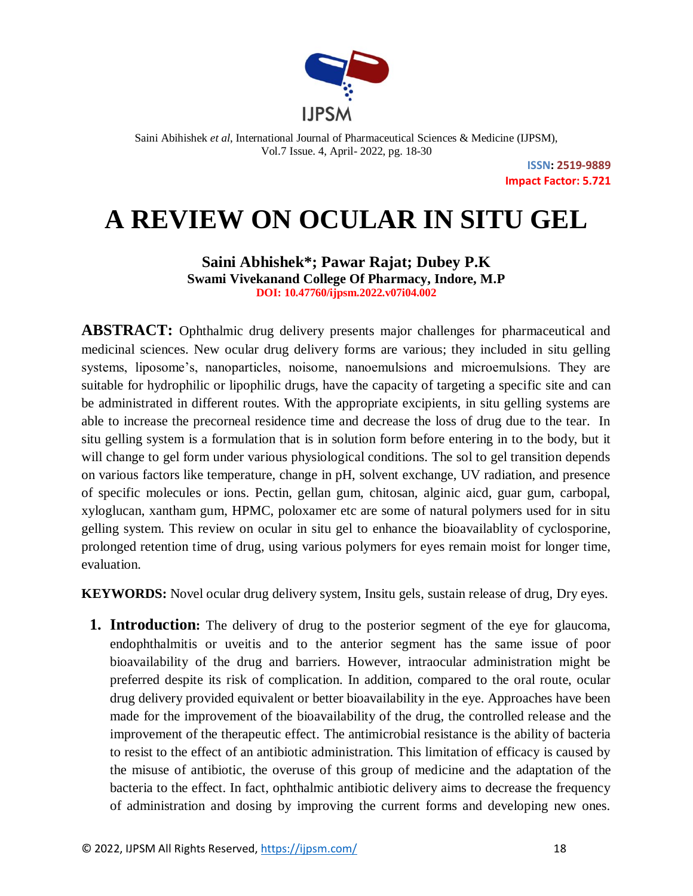

> **ISSN: 2519-9889 Impact Factor: 5.721**

# **A REVIEW ON OCULAR IN SITU GEL**

**Saini Abhishek\*; Pawar Rajat; Dubey P.K Swami Vivekanand College Of Pharmacy, Indore, M.P DOI: 10.47760/ijpsm.2022.v07i04.002**

**ABSTRACT:** Ophthalmic drug delivery presents major challenges for pharmaceutical and medicinal sciences. New ocular drug delivery forms are various; they included in situ gelling systems, liposome's, nanoparticles, noisome, nanoemulsions and microemulsions. They are suitable for hydrophilic or lipophilic drugs, have the capacity of targeting a specific site and can be administrated in different routes. With the appropriate excipients, in situ gelling systems are able to increase the precorneal residence time and decrease the loss of drug due to the tear. In situ gelling system is a formulation that is in solution form before entering in to the body, but it will change to gel form under various physiological conditions. The sol to gel transition depends on various factors like temperature, change in pH, solvent exchange, UV radiation, and presence of specific molecules or ions. Pectin, gellan gum, chitosan, alginic aicd, guar gum, carbopal, xyloglucan, xantham gum, HPMC, poloxamer etc are some of natural polymers used for in situ gelling system. This review on ocular in situ gel to enhance the bioavailablity of cyclosporine, prolonged retention time of drug, using various polymers for eyes remain moist for longer time, evaluation.

**KEYWORDS:** Novel ocular drug delivery system, Insitu gels, sustain release of drug, Dry eyes.

**1. Introduction:** The delivery of drug to the posterior segment of the eye for glaucoma, endophthalmitis or uveitis and to the anterior segment has the same issue of poor bioavailability of the drug and barriers. However, intraocular administration might be preferred despite its risk of complication. In addition, compared to the oral route, ocular drug delivery provided equivalent or better bioavailability in the eye. Approaches have been made for the improvement of the bioavailability of the drug, the controlled release and the improvement of the therapeutic effect. The antimicrobial resistance is the ability of bacteria to resist to the effect of an antibiotic administration. This limitation of efficacy is caused by the misuse of antibiotic, the overuse of this group of medicine and the adaptation of the bacteria to the effect. In fact, ophthalmic antibiotic delivery aims to decrease the frequency of administration and dosing by improving the current forms and developing new ones.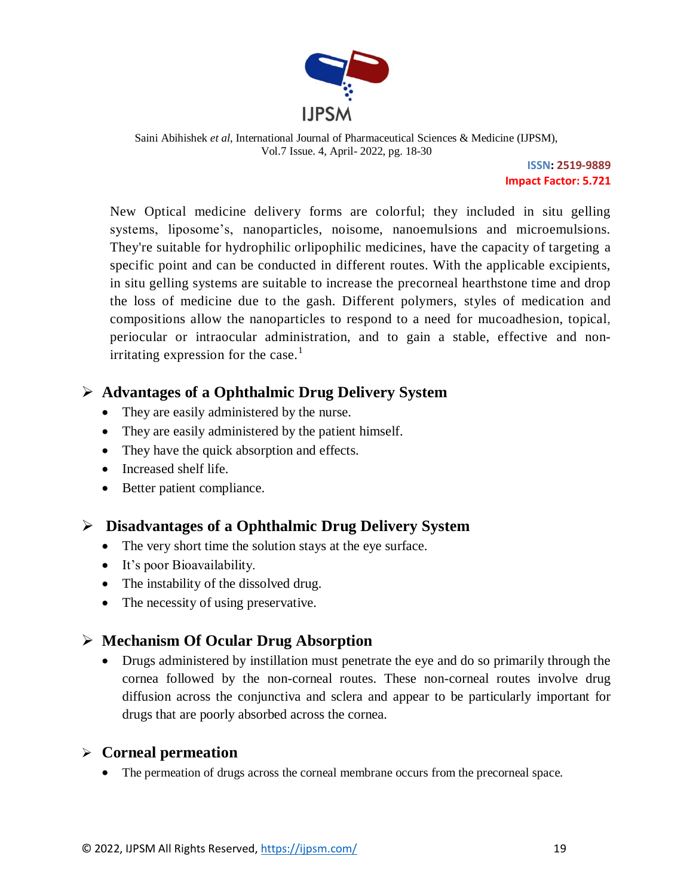

> **ISSN: 2519-9889 Impact Factor: 5.721**

New Optical medicine delivery forms are colorful; they included in situ gelling systems, liposome's, nanoparticles, noisome, nanoemulsions and microemulsions. They're suitable for hydrophilic orlipophilic medicines, have the capacity of targeting a specific point and can be conducted in different routes. With the applicable excipients, in situ gelling systems are suitable to increase the precorneal hearthstone time and drop the loss of medicine due to the gash. Different polymers, styles of medication and compositions allow the nanoparticles to respond to a need for mucoadhesion, topical, periocular or intraocular administration, and to gain a stable, effective and nonirritating expression for the case.<sup>1</sup>

## **Advantages of a Ophthalmic Drug Delivery System**

- They are easily administered by the nurse.
- They are easily administered by the patient himself.
- They have the quick absorption and effects.
- Increased shelf life.
- Better patient compliance.

## **Disadvantages of a Ophthalmic Drug Delivery System**

- The very short time the solution stays at the eye surface.
- It's poor Bioavailability.
- The instability of the dissolved drug.
- The necessity of using preservative.

## **Mechanism Of Ocular Drug Absorption**

 Drugs administered by instillation must penetrate the eye and do so primarily through the cornea followed by the non-corneal routes. These non-corneal routes involve drug diffusion across the conjunctiva and sclera and appear to be particularly important for drugs that are poorly absorbed across the cornea.

## **Corneal permeation**

The permeation of drugs across the corneal membrane occurs from the precorneal space.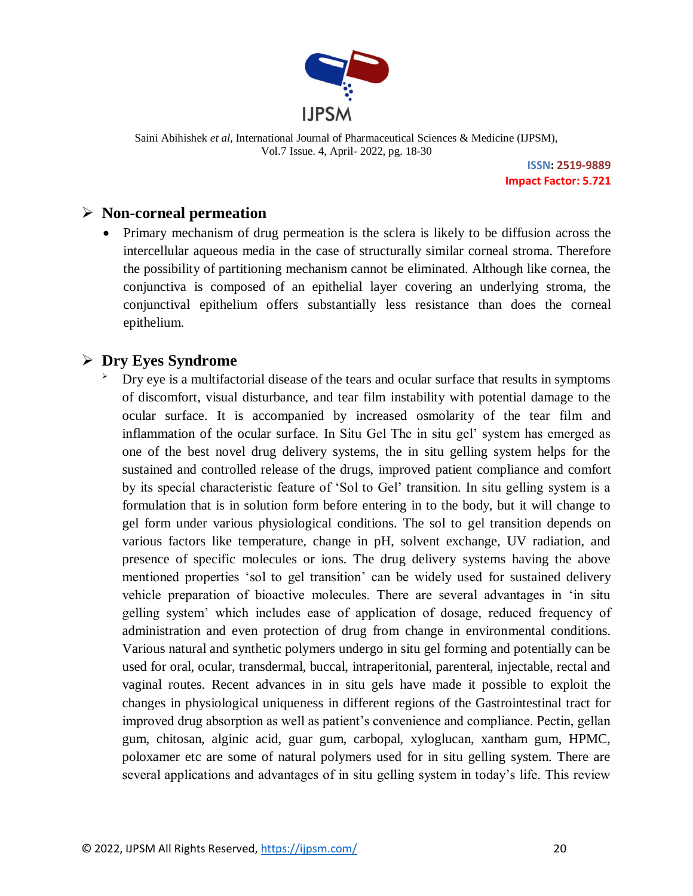

> **ISSN: 2519-9889 Impact Factor: 5.721**

## **Non-corneal permeation**

• Primary mechanism of drug permeation is the sclera is likely to be diffusion across the intercellular aqueous media in the case of structurally similar corneal stroma. Therefore the possibility of partitioning mechanism cannot be eliminated. Although like cornea, the conjunctiva is composed of an epithelial layer covering an underlying stroma, the conjunctival epithelium offers substantially less resistance than does the corneal epithelium.

## **Dry Eyes Syndrome**

 Dry eye is a multifactorial disease of the tears and ocular surface that results in symptoms of discomfort, visual disturbance, and tear film instability with potential damage to the ocular surface. It is accompanied by increased osmolarity of the tear film and inflammation of the ocular surface. In Situ Gel The in situ gel' system has emerged as one of the best novel drug delivery systems, the in situ gelling system helps for the sustained and controlled release of the drugs, improved patient compliance and comfort by its special characteristic feature of 'Sol to Gel' transition. In situ gelling system is a formulation that is in solution form before entering in to the body, but it will change to gel form under various physiological conditions. The sol to gel transition depends on various factors like temperature, change in pH, solvent exchange, UV radiation, and presence of specific molecules or ions. The drug delivery systems having the above mentioned properties 'sol to gel transition' can be widely used for sustained delivery vehicle preparation of bioactive molecules. There are several advantages in 'in situ gelling system' which includes ease of application of dosage, reduced frequency of administration and even protection of drug from change in environmental conditions. Various natural and synthetic polymers undergo in situ gel forming and potentially can be used for oral, ocular, transdermal, buccal, intraperitonial, parenteral, injectable, rectal and vaginal routes. Recent advances in in situ gels have made it possible to exploit the changes in physiological uniqueness in different regions of the Gastrointestinal tract for improved drug absorption as well as patient's convenience and compliance. Pectin, gellan gum, chitosan, alginic acid, guar gum, carbopal, xyloglucan, xantham gum, HPMC, poloxamer etc are some of natural polymers used for in situ gelling system. There are several applications and advantages of in situ gelling system in today's life. This review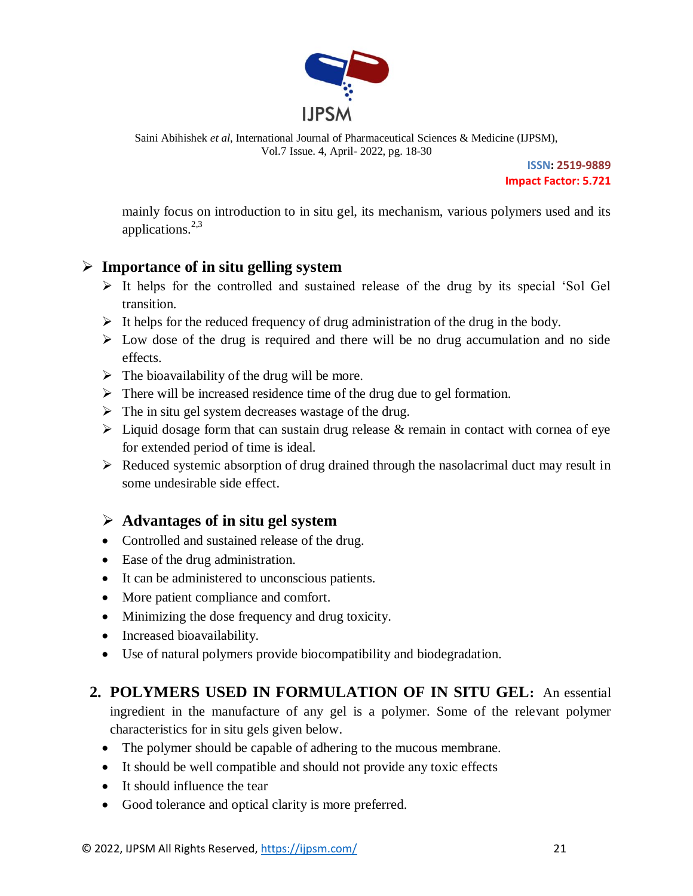

> **ISSN: 2519-9889 Impact Factor: 5.721**

mainly focus on introduction to in situ gel, its mechanism, various polymers used and its applications. $2,3$ 

## **Importance of in situ gelling system**

- $\triangleright$  It helps for the controlled and sustained release of the drug by its special 'Sol Gel transition.
- $\triangleright$  It helps for the reduced frequency of drug administration of the drug in the body.
- $\triangleright$  Low dose of the drug is required and there will be no drug accumulation and no side effects.
- $\triangleright$  The bioavailability of the drug will be more.
- $\triangleright$  There will be increased residence time of the drug due to gel formation.
- $\triangleright$  The in situ gel system decreases wastage of the drug.
- $\triangleright$  Liquid dosage form that can sustain drug release & remain in contact with cornea of eye for extended period of time is ideal.
- $\triangleright$  Reduced systemic absorption of drug drained through the nasolacrimal duct may result in some undesirable side effect.

## **Advantages of in situ gel system**

- Controlled and sustained release of the drug.
- Ease of the drug administration.
- It can be administered to unconscious patients.
- More patient compliance and comfort.
- Minimizing the dose frequency and drug toxicity.
- Increased bioavailability.
- Use of natural polymers provide biocompatibility and biodegradation.

## **2. POLYMERS USED IN FORMULATION OF IN SITU GEL:** An essential ingredient in the manufacture of any gel is a polymer. Some of the relevant polymer characteristics for in situ gels given below.

- The polymer should be capable of adhering to the mucous membrane.
- It should be well compatible and should not provide any toxic effects
- It should influence the tear
- Good tolerance and optical clarity is more preferred.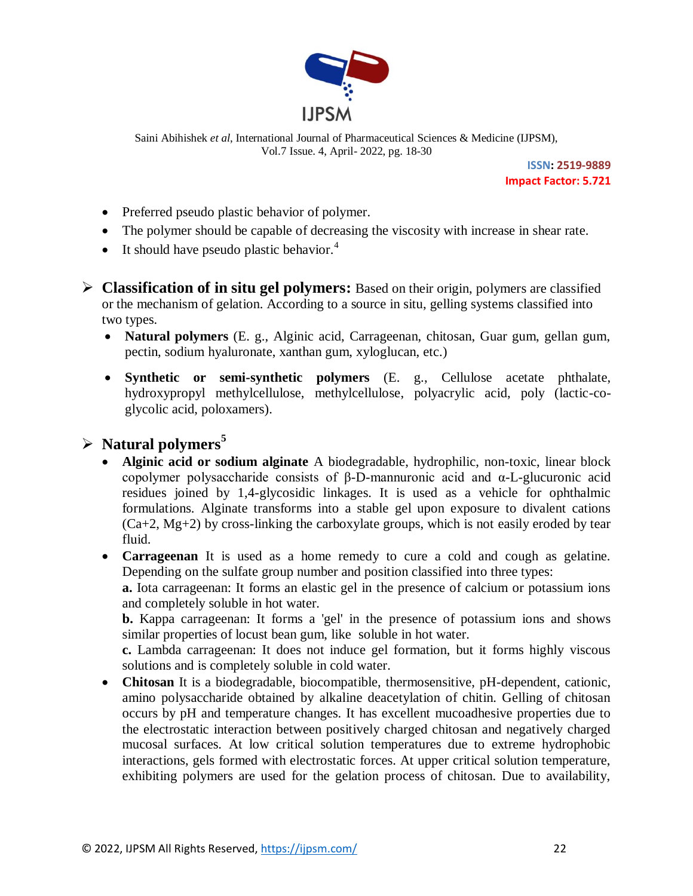

> **ISSN: 2519-9889 Impact Factor: 5.721**

- Preferred pseudo plastic behavior of polymer.
- The polymer should be capable of decreasing the viscosity with increase in shear rate.
- $\bullet$  It should have pseudo plastic behavior.<sup>4</sup>
- **Classification of in situ gel polymers:** Based on their origin, polymers are classified or the mechanism of gelation. According to a source in situ, gelling systems classified into two types.
	- **Natural polymers** (E. g., Alginic acid, Carrageenan, chitosan, Guar gum, gellan gum, pectin, sodium hyaluronate, xanthan gum, xyloglucan, etc.)
	- **Synthetic or semi-synthetic polymers** (E. g., Cellulose acetate phthalate, hydroxypropyl methylcellulose, methylcellulose, polyacrylic acid, poly (lactic-coglycolic acid, poloxamers).

## **Natural polymers<sup>5</sup>**

- **Alginic acid or sodium alginate** A biodegradable, hydrophilic, non-toxic, linear block copolymer polysaccharide consists of β-D-mannuronic acid and α-L-glucuronic acid residues joined by 1,4-glycosidic linkages. It is used as a vehicle for ophthalmic formulations. Alginate transforms into a stable gel upon exposure to divalent cations  $(Ca+2, Mg+2)$  by cross-linking the carboxylate groups, which is not easily eroded by tear fluid.
- **Carrageenan** It is used as a home remedy to cure a cold and cough as gelatine. Depending on the sulfate group number and position classified into three types: **a.** Iota carrageenan: It forms an elastic gel in the presence of calcium or potassium ions and completely soluble in hot water.

**b.** Kappa carrageenan: It forms a 'gel' in the presence of potassium ions and shows similar properties of locust bean gum, like soluble in hot water.

**c.** Lambda carrageenan: It does not induce gel formation, but it forms highly viscous solutions and is completely soluble in cold water.

 **Chitosan** It is a biodegradable, biocompatible, thermosensitive, pH-dependent, cationic, amino polysaccharide obtained by alkaline deacetylation of chitin. Gelling of chitosan occurs by pH and temperature changes. It has excellent mucoadhesive properties due to the electrostatic interaction between positively charged chitosan and negatively charged mucosal surfaces. At low critical solution temperatures due to extreme hydrophobic interactions, gels formed with electrostatic forces. At upper critical solution temperature, exhibiting polymers are used for the gelation process of chitosan. Due to availability,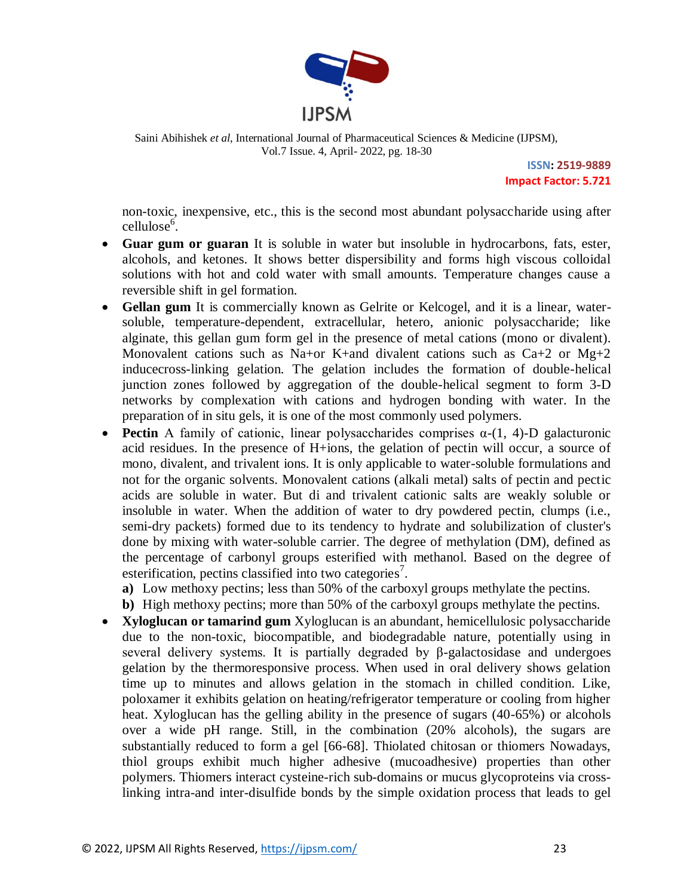

> **ISSN: 2519-9889 Impact Factor: 5.721**

non-toxic, inexpensive, etc., this is the second most abundant polysaccharide using after cellulose<sup>6</sup>.

- **Guar gum or guaran** It is soluble in water but insoluble in hydrocarbons, fats, ester, alcohols, and ketones. It shows better dispersibility and forms high viscous colloidal solutions with hot and cold water with small amounts. Temperature changes cause a reversible shift in gel formation.
- **Gellan gum** It is commercially known as Gelrite or Kelcogel, and it is a linear, watersoluble, temperature-dependent, extracellular, hetero, anionic polysaccharide; like alginate, this gellan gum form gel in the presence of metal cations (mono or divalent). Monovalent cations such as Na+or K+and divalent cations such as Ca+2 or Mg+2 inducecross-linking gelation. The gelation includes the formation of double-helical junction zones followed by aggregation of the double-helical segment to form 3-D networks by complexation with cations and hydrogen bonding with water. In the preparation of in situ gels, it is one of the most commonly used polymers.
- **Pectin** A family of cationic, linear polysaccharides comprises  $\alpha$ -(1, 4)-D galacturonic acid residues. In the presence of H+ions, the gelation of pectin will occur, a source of mono, divalent, and trivalent ions. It is only applicable to water-soluble formulations and not for the organic solvents. Monovalent cations (alkali metal) salts of pectin and pectic acids are soluble in water. But di and trivalent cationic salts are weakly soluble or insoluble in water. When the addition of water to dry powdered pectin, clumps (i.e., semi-dry packets) formed due to its tendency to hydrate and solubilization of cluster's done by mixing with water-soluble carrier. The degree of methylation (DM), defined as the percentage of carbonyl groups esterified with methanol. Based on the degree of esterification, pectins classified into two categories<sup>7</sup>.
	- **a)** Low methoxy pectins; less than 50% of the carboxyl groups methylate the pectins.
	- **b)** High methoxy pectins; more than 50% of the carboxyl groups methylate the pectins.
- **Xyloglucan or tamarind gum** Xyloglucan is an abundant, hemicellulosic polysaccharide due to the non-toxic, biocompatible, and biodegradable nature, potentially using in several delivery systems. It is partially degraded by β-galactosidase and undergoes gelation by the thermoresponsive process. When used in oral delivery shows gelation time up to minutes and allows gelation in the stomach in chilled condition. Like, poloxamer it exhibits gelation on heating/refrigerator temperature or cooling from higher heat. Xyloglucan has the gelling ability in the presence of sugars (40-65%) or alcohols over a wide pH range. Still, in the combination (20% alcohols), the sugars are substantially reduced to form a gel [66-68]. Thiolated chitosan or thiomers Nowadays, thiol groups exhibit much higher adhesive (mucoadhesive) properties than other polymers. Thiomers interact cysteine-rich sub-domains or mucus glycoproteins via crosslinking intra-and inter-disulfide bonds by the simple oxidation process that leads to gel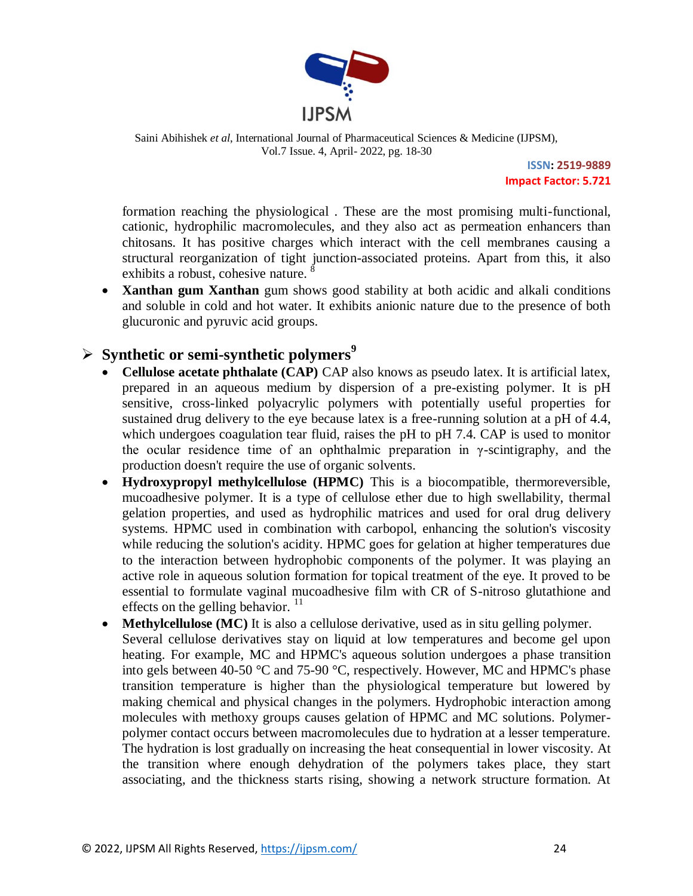

> **ISSN: 2519-9889 Impact Factor: 5.721**

formation reaching the physiological . These are the most promising multi-functional, cationic, hydrophilic macromolecules, and they also act as permeation enhancers than chitosans. It has positive charges which interact with the cell membranes causing a structural reorganization of tight junction-associated proteins. Apart from this, it also exhibits a robust, cohesive nature. 8

 **Xanthan gum Xanthan** gum shows good stability at both acidic and alkali conditions and soluble in cold and hot water. It exhibits anionic nature due to the presence of both glucuronic and pyruvic acid groups.

## **Synthetic or semi-synthetic polymers<sup>9</sup>**

- **Cellulose acetate phthalate (CAP)** CAP also knows as pseudo latex. It is artificial latex, prepared in an aqueous medium by dispersion of a pre-existing polymer. It is pH sensitive, cross-linked polyacrylic polymers with potentially useful properties for sustained drug delivery to the eye because latex is a free-running solution at a pH of 4.4, which undergoes coagulation tear fluid, raises the pH to pH 7.4. CAP is used to monitor the ocular residence time of an ophthalmic preparation in γ-scintigraphy, and the production doesn't require the use of organic solvents.
- **Hydroxypropyl methylcellulose (HPMC)** This is a biocompatible, thermoreversible, mucoadhesive polymer. It is a type of cellulose ether due to high swellability, thermal gelation properties, and used as hydrophilic matrices and used for oral drug delivery systems. HPMC used in combination with carbopol, enhancing the solution's viscosity while reducing the solution's acidity. HPMC goes for gelation at higher temperatures due to the interaction between hydrophobic components of the polymer. It was playing an active role in aqueous solution formation for topical treatment of the eye. It proved to be essential to formulate vaginal mucoadhesive film with CR of S-nitroso glutathione and effects on the gelling behavior.  $11$
- **Methylcellulose (MC)** It is also a cellulose derivative, used as in situ gelling polymer. Several cellulose derivatives stay on liquid at low temperatures and become gel upon heating. For example, MC and HPMC's aqueous solution undergoes a phase transition into gels between 40-50 °C and 75-90 °C, respectively. However, MC and HPMC's phase transition temperature is higher than the physiological temperature but lowered by making chemical and physical changes in the polymers. Hydrophobic interaction among molecules with methoxy groups causes gelation of HPMC and MC solutions. Polymerpolymer contact occurs between macromolecules due to hydration at a lesser temperature. The hydration is lost gradually on increasing the heat consequential in lower viscosity. At the transition where enough dehydration of the polymers takes place, they start associating, and the thickness starts rising, showing a network structure formation. At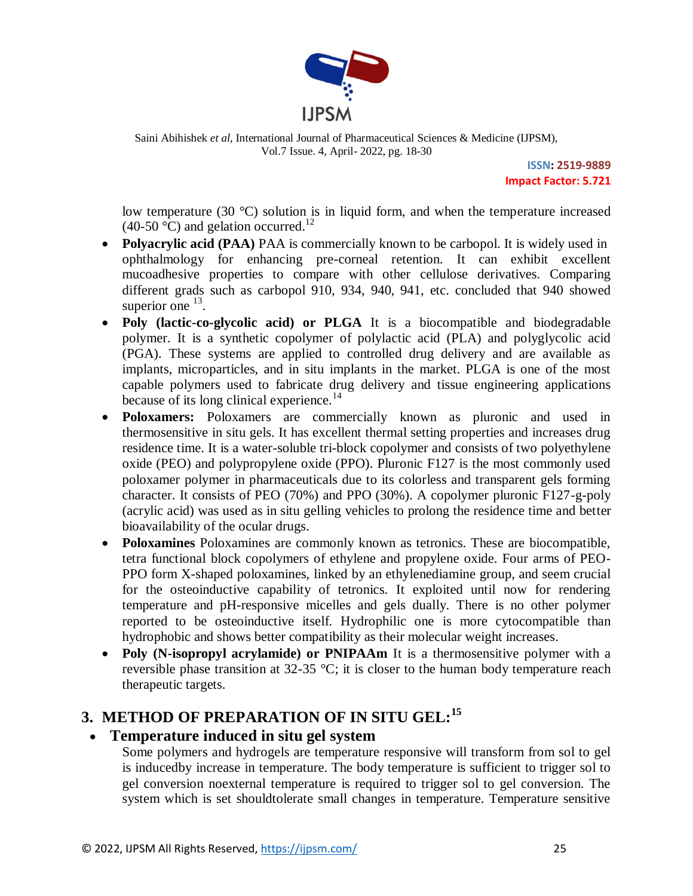

> **ISSN: 2519-9889 Impact Factor: 5.721**

low temperature (30 °C) solution is in liquid form, and when the temperature increased  $(40\n-50<sup>o</sup>C)$  and gelation occurred.<sup>12</sup>

- Polyacrylic acid (PAA) PAA is commercially known to be carbopol. It is widely used in ophthalmology for enhancing pre-corneal retention. It can exhibit excellent mucoadhesive properties to compare with other cellulose derivatives. Comparing different grads such as carbopol 910, 934, 940, 941, etc. concluded that 940 showed superior one  $^{13}$ .
- **Poly (lactic-co-glycolic acid) or PLGA** It is a biocompatible and biodegradable polymer. It is a synthetic copolymer of polylactic acid (PLA) and polyglycolic acid (PGA). These systems are applied to controlled drug delivery and are available as implants, microparticles, and in situ implants in the market. PLGA is one of the most capable polymers used to fabricate drug delivery and tissue engineering applications because of its long clinical experience.<sup>14</sup>
- **Poloxamers:** Poloxamers are commercially known as pluronic and used in thermosensitive in situ gels. It has excellent thermal setting properties and increases drug residence time. It is a water-soluble tri-block copolymer and consists of two polyethylene oxide (PEO) and polypropylene oxide (PPO). Pluronic F127 is the most commonly used poloxamer polymer in pharmaceuticals due to its colorless and transparent gels forming character. It consists of PEO (70%) and PPO (30%). A copolymer pluronic F127-g-poly (acrylic acid) was used as in situ gelling vehicles to prolong the residence time and better bioavailability of the ocular drugs.
- **Poloxamines** Poloxamines are commonly known as tetronics. These are biocompatible, tetra functional block copolymers of ethylene and propylene oxide. Four arms of PEO-PPO form X-shaped poloxamines, linked by an ethylenediamine group, and seem crucial for the osteoinductive capability of tetronics. It exploited until now for rendering temperature and pH-responsive micelles and gels dually. There is no other polymer reported to be osteoinductive itself. Hydrophilic one is more cytocompatible than hydrophobic and shows better compatibility as their molecular weight increases.
- **Poly (N-isopropyl acrylamide) or PNIPAAm** It is a thermosensitive polymer with a reversible phase transition at 32-35 °C; it is closer to the human body temperature reach therapeutic targets.

## **3. METHOD OF PREPARATION OF IN SITU GEL:<sup>15</sup>**

## **Temperature induced in situ gel system**

Some polymers and hydrogels are temperature responsive will transform from sol to gel is inducedby increase in temperature. The body temperature is sufficient to trigger sol to gel conversion noexternal temperature is required to trigger sol to gel conversion. The system which is set shouldtolerate small changes in temperature. Temperature sensitive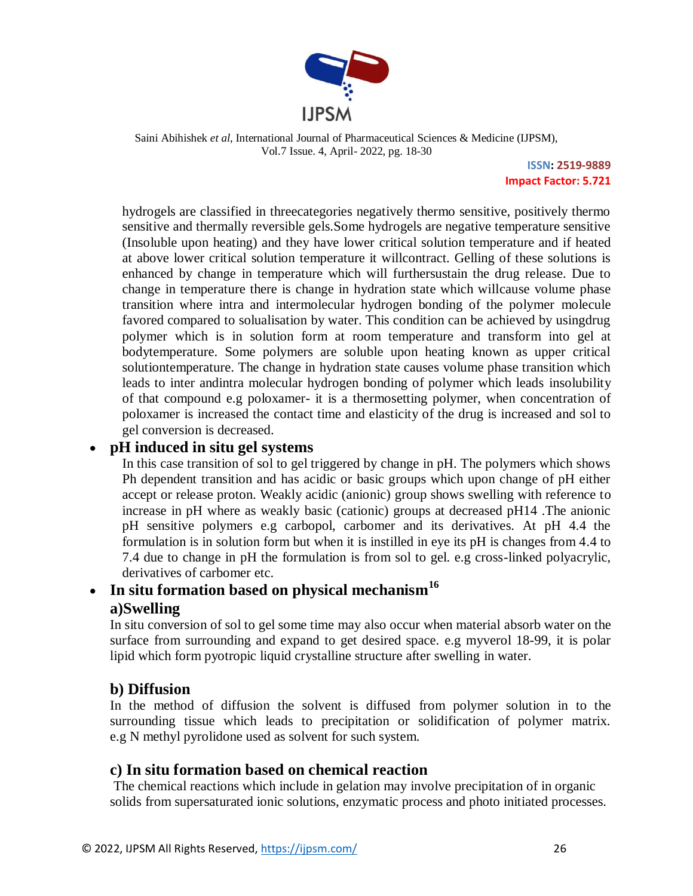

> **ISSN: 2519-9889 Impact Factor: 5.721**

hydrogels are classified in threecategories negatively thermo sensitive, positively thermo sensitive and thermally reversible gels.Some hydrogels are negative temperature sensitive (Insoluble upon heating) and they have lower critical solution temperature and if heated at above lower critical solution temperature it willcontract. Gelling of these solutions is enhanced by change in temperature which will furthersustain the drug release. Due to change in temperature there is change in hydration state which willcause volume phase transition where intra and intermolecular hydrogen bonding of the polymer molecule favored compared to solualisation by water. This condition can be achieved by usingdrug polymer which is in solution form at room temperature and transform into gel at bodytemperature. Some polymers are soluble upon heating known as upper critical solutiontemperature. The change in hydration state causes volume phase transition which leads to inter andintra molecular hydrogen bonding of polymer which leads insolubility of that compound e.g poloxamer- it is a thermosetting polymer, when concentration of poloxamer is increased the contact time and elasticity of the drug is increased and sol to gel conversion is decreased.

## **pH induced in situ gel systems**

In this case transition of sol to gel triggered by change in pH. The polymers which shows Ph dependent transition and has acidic or basic groups which upon change of pH either accept or release proton. Weakly acidic (anionic) group shows swelling with reference to increase in pH where as weakly basic (cationic) groups at decreased pH14 .The anionic pH sensitive polymers e.g carbopol, carbomer and its derivatives. At pH 4.4 the formulation is in solution form but when it is instilled in eye its pH is changes from 4.4 to 7.4 due to change in pH the formulation is from sol to gel. e.g cross-linked polyacrylic, derivatives of carbomer etc.

## **In situ formation based on physical mechanism<sup>16</sup> a)Swelling**

In situ conversion of sol to gel some time may also occur when material absorb water on the surface from surrounding and expand to get desired space. e.g myverol 18-99, it is polar lipid which form pyotropic liquid crystalline structure after swelling in water.

## **b) Diffusion**

In the method of diffusion the solvent is diffused from polymer solution in to the surrounding tissue which leads to precipitation or solidification of polymer matrix. e.g N methyl pyrolidone used as solvent for such system.

## **c) In situ formation based on chemical reaction**

The chemical reactions which include in gelation may involve precipitation of in organic solids from supersaturated ionic solutions, enzymatic process and photo initiated processes.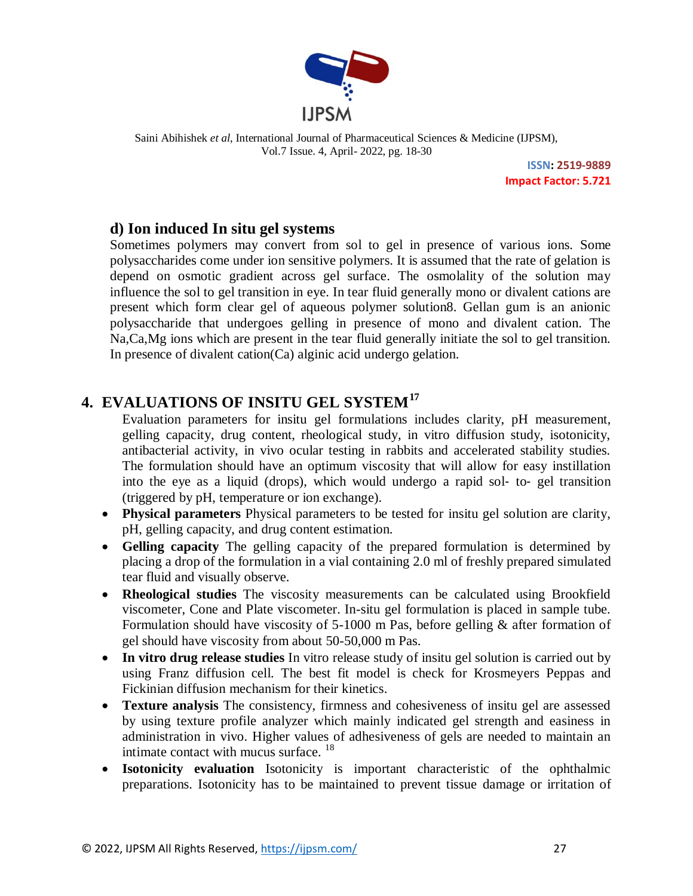

> **ISSN: 2519-9889 Impact Factor: 5.721**

## **d) Ion induced In situ gel systems**

Sometimes polymers may convert from sol to gel in presence of various ions. Some polysaccharides come under ion sensitive polymers. It is assumed that the rate of gelation is depend on osmotic gradient across gel surface. The osmolality of the solution may influence the sol to gel transition in eye. In tear fluid generally mono or divalent cations are present which form clear gel of aqueous polymer solution8. Gellan gum is an anionic polysaccharide that undergoes gelling in presence of mono and divalent cation. The Na,Ca,Mg ions which are present in the tear fluid generally initiate the sol to gel transition. In presence of divalent cation(Ca) alginic acid undergo gelation.

## **4. EVALUATIONS OF INSITU GEL SYSTEM<sup>17</sup>**

Evaluation parameters for insitu gel formulations includes clarity, pH measurement, gelling capacity, drug content, rheological study, in vitro diffusion study, isotonicity, antibacterial activity, in vivo ocular testing in rabbits and accelerated stability studies. The formulation should have an optimum viscosity that will allow for easy instillation into the eye as a liquid (drops), which would undergo a rapid sol‐ to‐ gel transition (triggered by pH, temperature or ion exchange).

- **Physical parameters** Physical parameters to be tested for insitu gel solution are clarity, pH, gelling capacity, and drug content estimation.
- **Gelling capacity** The gelling capacity of the prepared formulation is determined by placing a drop of the formulation in a vial containing 2.0 ml of freshly prepared simulated tear fluid and visually observe.
- **Rheological studies** The viscosity measurements can be calculated using Brookfield viscometer, Cone and Plate viscometer. In-situ gel formulation is placed in sample tube. Formulation should have viscosity of 5-1000 m Pas, before gelling & after formation of gel should have viscosity from about 50-50,000 m Pas.
- In vitro drug release studies In vitro release study of insitu gel solution is carried out by using Franz diffusion cell. The best fit model is check for Krosmeyers Peppas and Fickinian diffusion mechanism for their kinetics.
- **Texture analysis** The consistency, firmness and cohesiveness of insitu gel are assessed by using texture profile analyzer which mainly indicated gel strength and easiness in administration in vivo. Higher values of adhesiveness of gels are needed to maintain an intimate contact with mucus surface. <sup>18</sup>
- **Isotonicity evaluation** Isotonicity is important characteristic of the ophthalmic preparations. Isotonicity has to be maintained to prevent tissue damage or irritation of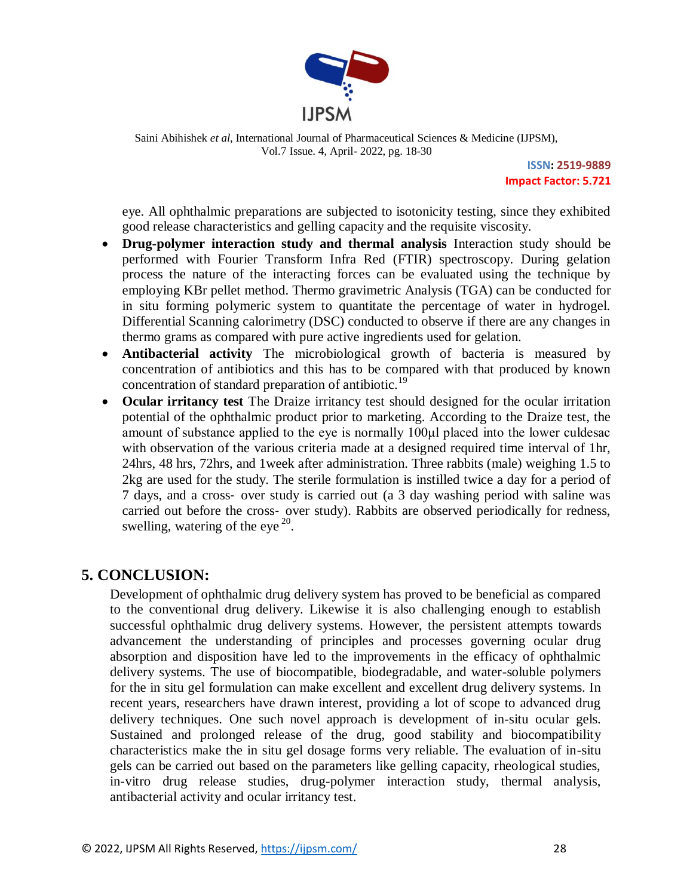

> **ISSN: 2519-9889 Impact Factor: 5.721**

eye. All ophthalmic preparations are subjected to isotonicity testing, since they exhibited good release characteristics and gelling capacity and the requisite viscosity.

- **Drug-polymer interaction study and thermal analysis** Interaction study should be performed with Fourier Transform Infra Red (FTIR) spectroscopy. During gelation process the nature of the interacting forces can be evaluated using the technique by employing KBr pellet method. Thermo gravimetric Analysis (TGA) can be conducted for in situ forming polymeric system to quantitate the percentage of water in hydrogel. Differential Scanning calorimetry (DSC) conducted to observe if there are any changes in thermo grams as compared with pure active ingredients used for gelation.
- **Antibacterial activity** The microbiological growth of bacteria is measured by concentration of antibiotics and this has to be compared with that produced by known concentration of standard preparation of antibiotic.<sup>19</sup>
- **Ocular irritancy test** The Draize irritancy test should designed for the ocular irritation potential of the ophthalmic product prior to marketing. According to the Draize test, the amount of substance applied to the eye is normally 100μl placed into the lower culdesac with observation of the various criteria made at a designed required time interval of 1hr, 24hrs, 48 hrs, 72hrs, and 1week after administration. Three rabbits (male) weighing 1.5 to 2kg are used for the study. The sterile formulation is instilled twice a day for a period of 7 days, and a cross‐ over study is carried out (a 3 day washing period with saline was carried out before the cross‐ over study). Rabbits are observed periodically for redness, swelling, watering of the eye<sup>20</sup>.

## **5. CONCLUSION:**

Development of ophthalmic drug delivery system has proved to be beneficial as compared to the conventional drug delivery. Likewise it is also challenging enough to establish successful ophthalmic drug delivery systems. However, the persistent attempts towards advancement the understanding of principles and processes governing ocular drug absorption and disposition have led to the improvements in the efficacy of ophthalmic delivery systems. The use of biocompatible, biodegradable, and water-soluble polymers for the in situ gel formulation can make excellent and excellent drug delivery systems. In recent years, researchers have drawn interest, providing a lot of scope to advanced drug delivery techniques. One such novel approach is development of in-situ ocular gels. Sustained and prolonged release of the drug, good stability and biocompatibility characteristics make the in situ gel dosage forms very reliable. The evaluation of in-situ gels can be carried out based on the parameters like gelling capacity, rheological studies, in-vitro drug release studies, drug-polymer interaction study, thermal analysis, antibacterial activity and ocular irritancy test.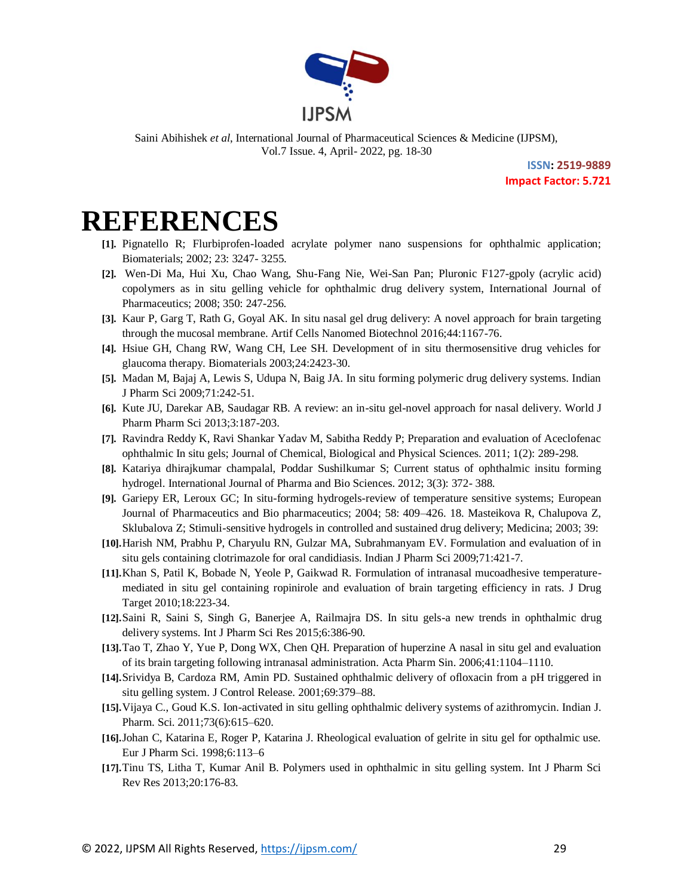

> **ISSN: 2519-9889 Impact Factor: 5.721**

## **REFERENCES**

- **[1].** Pignatello R; Flurbiprofen-loaded acrylate polymer nano suspensions for ophthalmic application; Biomaterials; 2002; 23: 3247- 3255.
- **[2].** Wen-Di Ma, Hui Xu, Chao Wang, Shu-Fang Nie, Wei-San Pan; Pluronic F127-gpoly (acrylic acid) copolymers as in situ gelling vehicle for ophthalmic drug delivery system, International Journal of Pharmaceutics; 2008; 350: 247-256.
- **[3].** Kaur P, Garg T, Rath G, Goyal AK. In situ nasal gel drug delivery: A novel approach for brain targeting through the mucosal membrane. Artif Cells Nanomed Biotechnol 2016;44:1167-76.
- **[4].** Hsiue GH, Chang RW, Wang CH, Lee SH. Development of in situ thermosensitive drug vehicles for glaucoma therapy. Biomaterials 2003;24:2423-30.
- **[5].** Madan M, Bajaj A, Lewis S, Udupa N, Baig JA. In situ forming polymeric drug delivery systems. Indian J Pharm Sci 2009;71:242-51.
- **[6].** Kute JU, Darekar AB, Saudagar RB. A review: an in-situ gel-novel approach for nasal delivery. World J Pharm Pharm Sci 2013;3:187-203.
- **[7].** Ravindra Reddy K, Ravi Shankar Yadav M, Sabitha Reddy P; Preparation and evaluation of Aceclofenac ophthalmic In situ gels; Journal of Chemical, Biological and Physical Sciences. 2011; 1(2): 289-298.
- **[8].** Katariya dhirajkumar champalal, Poddar Sushilkumar S; Current status of ophthalmic insitu forming hydrogel. International Journal of Pharma and Bio Sciences. 2012; 3(3): 372- 388.
- **[9].** Gariepy ER, Leroux GC; In situ-forming hydrogels-review of temperature sensitive systems; European Journal of Pharmaceutics and Bio pharmaceutics; 2004; 58: 409–426. 18. Masteikova R, Chalupova Z, Sklubalova Z; Stimuli-sensitive hydrogels in controlled and sustained drug delivery; Medicina; 2003; 39:
- **[10].**Harish NM, Prabhu P, Charyulu RN, Gulzar MA, Subrahmanyam EV. Formulation and evaluation of in situ gels containing clotrimazole for oral candidiasis. Indian J Pharm Sci 2009;71:421-7.
- **[11].**Khan S, Patil K, Bobade N, Yeole P, Gaikwad R. Formulation of intranasal mucoadhesive temperaturemediated in situ gel containing ropinirole and evaluation of brain targeting efficiency in rats. J Drug Target 2010;18:223-34.
- **[12].**Saini R, Saini S, Singh G, Banerjee A, Railmajra DS. In situ gels-a new trends in ophthalmic drug delivery systems. Int J Pharm Sci Res 2015;6:386-90.
- **[13].**Tao T, Zhao Y, Yue P, Dong WX, Chen QH. Preparation of huperzine A nasal in situ gel and evaluation of its brain targeting following intranasal administration. Acta Pharm Sin. 2006;41:1104–1110.
- **[14].**Srividya B, Cardoza RM, Amin PD. Sustained ophthalmic delivery of ofloxacin from a pH triggered in situ gelling system. J Control Release. 2001;69:379–88.
- **[15].**Vijaya C., Goud K.S. Ion-activated in situ gelling ophthalmic delivery systems of azithromycin. Indian J. Pharm. Sci. 2011;73(6):615–620.
- **[16].**Johan C, Katarina E, Roger P, Katarina J. Rheological evaluation of gelrite in situ gel for opthalmic use. Eur J Pharm Sci. 1998;6:113–6
- **[17].**Tinu TS, Litha T, Kumar Anil B. Polymers used in ophthalmic in situ gelling system. Int J Pharm Sci Rev Res 2013;20:176-83.